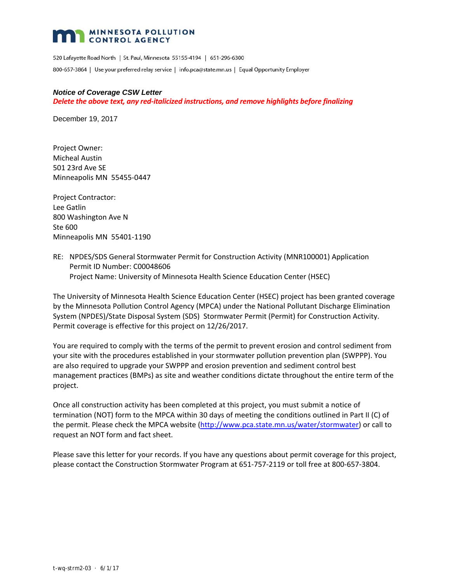### **MINNESOTA POLLUTION CONTROL AGENCY**

520 Lafayette Road North | St. Paul, Minnesota 55155-4194 | 651-296-6300 800-657-3864 | Use your preferred relay service | info.pca@state.mn.us | Equal Opportunity Employer

#### *Notice of Coverage CSW Letter*

*Delete the above text, any red‐italicized instructions, and remove highlights before finalizing*

December 19, 2017

Project Owner: Micheal Austin 501 23rd Ave SE Minneapolis MN 55455‐0447

Project Contractor: Lee Gatlin 800 Washington Ave N Ste 600 Minneapolis MN 55401‐1190

RE: NPDES/SDS General Stormwater Permit for Construction Activity (MNR100001) Application Permit ID Number: C00048606 Project Name: University of Minnesota Health Science Education Center (HSEC)

The University of Minnesota Health Science Education Center (HSEC) project has been granted coverage by the Minnesota Pollution Control Agency (MPCA) under the National Pollutant Discharge Elimination System (NPDES)/State Disposal System (SDS) Stormwater Permit (Permit) for Construction Activity. Permit coverage is effective for this project on 12/26/2017.

You are required to comply with the terms of the permit to prevent erosion and control sediment from your site with the procedures established in your stormwater pollution prevention plan (SWPPP). You are also required to upgrade your SWPPP and erosion prevention and sediment control best management practices (BMPs) as site and weather conditions dictate throughout the entire term of the project.

Once all construction activity has been completed at this project, you must submit a notice of termination (NOT) form to the MPCA within 30 days of meeting the conditions outlined in Part II (C) of the permit. Please check the MPCA website (http://www.pca.state.mn.us/water/stormwater) or call to request an NOT form and fact sheet.

Please save this letter for your records. If you have any questions about permit coverage for this project, please contact the Construction Stormwater Program at 651‐757‐2119 or toll free at 800‐657‐3804.